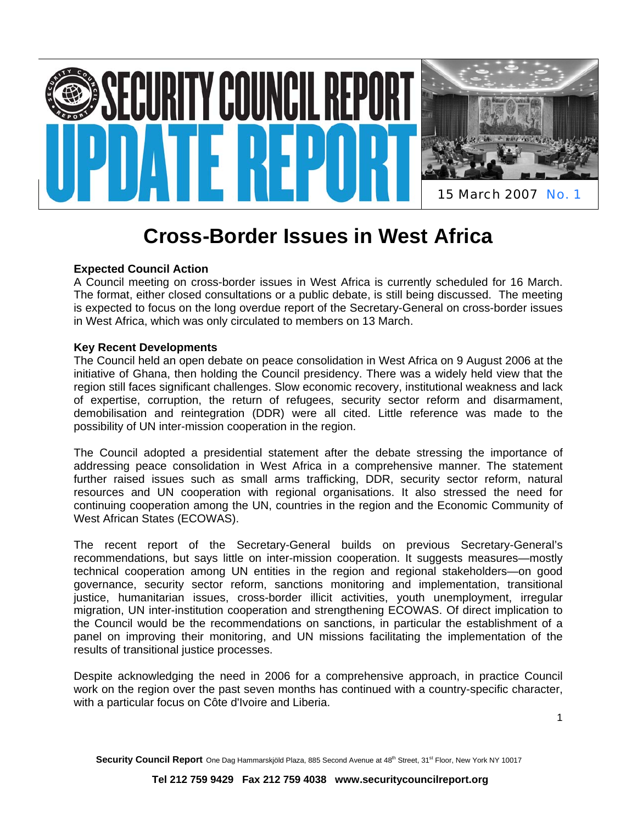

# **Cross-Border Issues in West Africa**

# **Expected Council Action**

A Council meeting on cross-border issues in West Africa is currently scheduled for 16 March. The format, either closed consultations or a public debate, is still being discussed. The meeting is expected to focus on the long overdue report of the Secretary-General on cross-border issues in West Africa, which was only circulated to members on 13 March.

## **Key Recent Developments**

The Council held an open debate on peace consolidation in West Africa on 9 August 2006 at the initiative of Ghana, then holding the Council presidency. There was a widely held view that the region still faces significant challenges. Slow economic recovery, institutional weakness and lack of expertise, corruption, the return of refugees, security sector reform and disarmament, demobilisation and reintegration (DDR) were all cited. Little reference was made to the possibility of UN inter-mission cooperation in the region.

The Council adopted a presidential statement after the debate stressing the importance of addressing peace consolidation in West Africa in a comprehensive manner. The statement further raised issues such as small arms trafficking, DDR, security sector reform, natural resources and UN cooperation with regional organisations. It also stressed the need for continuing cooperation among the UN, countries in the region and the Economic Community of West African States (ECOWAS).

The recent report of the Secretary-General builds on previous Secretary-General's recommendations, but says little on inter-mission cooperation. It suggests measures—mostly technical cooperation among UN entities in the region and regional stakeholders—on good governance, security sector reform, sanctions monitoring and implementation, transitional justice, humanitarian issues, cross-border illicit activities, youth unemployment, irregular migration, UN inter-institution cooperation and strengthening ECOWAS. Of direct implication to the Council would be the recommendations on sanctions, in particular the establishment of a panel on improving their monitoring, and UN missions facilitating the implementation of the results of transitional justice processes.

Despite acknowledging the need in 2006 for a comprehensive approach, in practice Council work on the region over the past seven months has continued with a country-specific character, with a particular focus on Côte d'Ivoire and Liberia.

Security Council Report One Dag Hammarskjöld Plaza, 885 Second Avenue at 48<sup>th</sup> Street, 31<sup>st</sup> Floor, New York NY 10017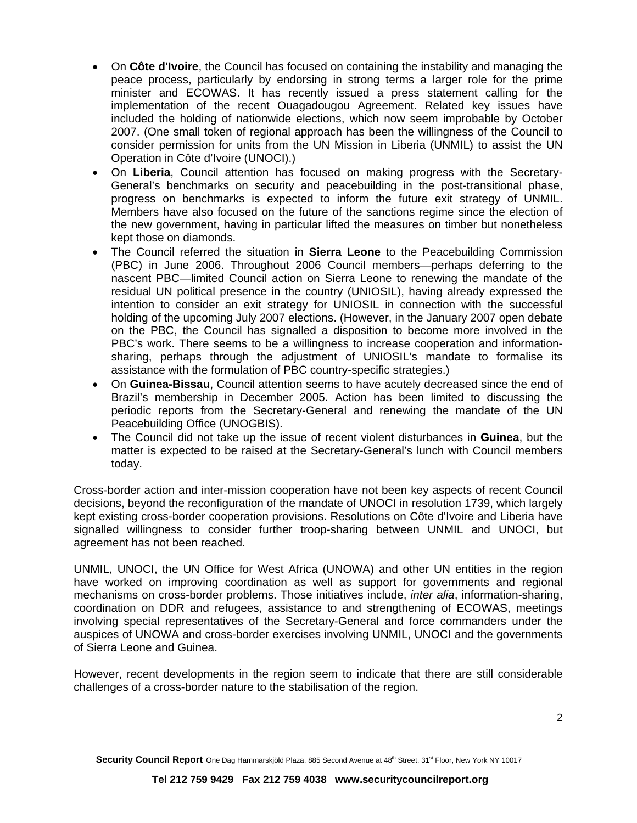- On **Côte d'Ivoire**, the Council has focused on containing the instability and managing the peace process, particularly by endorsing in strong terms a larger role for the prime minister and ECOWAS. It has recently issued a press statement calling for the implementation of the recent Ouagadougou Agreement. Related key issues have included the holding of nationwide elections, which now seem improbable by October 2007. (One small token of regional approach has been the willingness of the Council to consider permission for units from the UN Mission in Liberia (UNMIL) to assist the UN Operation in Côte d'Ivoire (UNOCI).)
- On **Liberia**, Council attention has focused on making progress with the Secretary-General's benchmarks on security and peacebuilding in the post-transitional phase, progress on benchmarks is expected to inform the future exit strategy of UNMIL. Members have also focused on the future of the sanctions regime since the election of the new government, having in particular lifted the measures on timber but nonetheless kept those on diamonds.
- The Council referred the situation in **Sierra Leone** to the Peacebuilding Commission (PBC) in June 2006. Throughout 2006 Council members—perhaps deferring to the nascent PBC—limited Council action on Sierra Leone to renewing the mandate of the residual UN political presence in the country (UNIOSIL), having already expressed the intention to consider an exit strategy for UNIOSIL in connection with the successful holding of the upcoming July 2007 elections. (However, in the January 2007 open debate on the PBC, the Council has signalled a disposition to become more involved in the PBC's work. There seems to be a willingness to increase cooperation and informationsharing, perhaps through the adjustment of UNIOSIL's mandate to formalise its assistance with the formulation of PBC country-specific strategies.)
- On **Guinea-Bissau**, Council attention seems to have acutely decreased since the end of Brazil's membership in December 2005. Action has been limited to discussing the periodic reports from the Secretary-General and renewing the mandate of the UN Peacebuilding Office (UNOGBIS).
- The Council did not take up the issue of recent violent disturbances in **Guinea**, but the matter is expected to be raised at the Secretary-General's lunch with Council members today.

Cross-border action and inter-mission cooperation have not been key aspects of recent Council decisions, beyond the reconfiguration of the mandate of UNOCI in resolution 1739, which largely kept existing cross-border cooperation provisions. Resolutions on Côte d'Ivoire and Liberia have signalled willingness to consider further troop-sharing between UNMIL and UNOCI, but agreement has not been reached.

UNMIL, UNOCI, the UN Office for West Africa (UNOWA) and other UN entities in the region have worked on improving coordination as well as support for governments and regional mechanisms on cross-border problems. Those initiatives include, *inter alia*, information-sharing, coordination on DDR and refugees, assistance to and strengthening of ECOWAS, meetings involving special representatives of the Secretary-General and force commanders under the auspices of UNOWA and cross-border exercises involving UNMIL, UNOCI and the governments of Sierra Leone and Guinea.

However, recent developments in the region seem to indicate that there are still considerable challenges of a cross-border nature to the stabilisation of the region.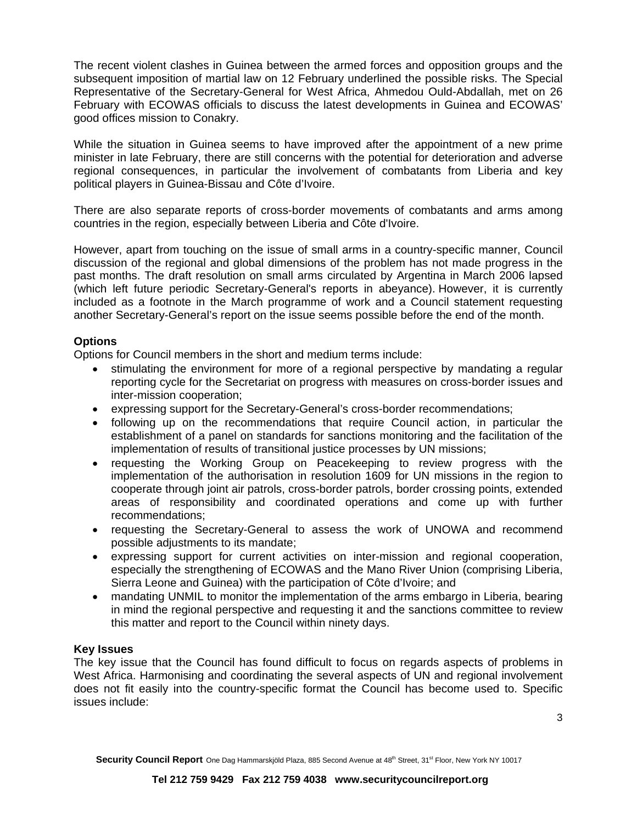The recent violent clashes in Guinea between the armed forces and opposition groups and the subsequent imposition of martial law on 12 February underlined the possible risks. The Special Representative of the Secretary-General for West Africa, Ahmedou Ould-Abdallah, met on 26 February with ECOWAS officials to discuss the latest developments in Guinea and ECOWAS' good offices mission to Conakry.

While the situation in Guinea seems to have improved after the appointment of a new prime minister in late February, there are still concerns with the potential for deterioration and adverse regional consequences, in particular the involvement of combatants from Liberia and key political players in Guinea-Bissau and Côte d'Ivoire.

There are also separate reports of cross-border movements of combatants and arms among countries in the region, especially between Liberia and Côte d'Ivoire.

However, apart from touching on the issue of small arms in a country-specific manner, Council discussion of the regional and global dimensions of the problem has not made progress in the past months. The draft resolution on small arms circulated by Argentina in March 2006 lapsed (which left future periodic Secretary-General's reports in abeyance). However, it is currently included as a footnote in the March programme of work and a Council statement requesting another Secretary-General's report on the issue seems possible before the end of the month.

## **Options**

Options for Council members in the short and medium terms include:

- stimulating the environment for more of a regional perspective by mandating a regular reporting cycle for the Secretariat on progress with measures on cross-border issues and inter-mission cooperation;
- expressing support for the Secretary-General's cross-border recommendations;
- following up on the recommendations that require Council action, in particular the establishment of a panel on standards for sanctions monitoring and the facilitation of the implementation of results of transitional justice processes by UN missions;
- requesting the Working Group on Peacekeeping to review progress with the implementation of the authorisation in resolution 1609 for UN missions in the region to cooperate through joint air patrols, cross-border patrols, border crossing points, extended areas of responsibility and coordinated operations and come up with further recommendations;
- requesting the Secretary-General to assess the work of UNOWA and recommend possible adjustments to its mandate;
- expressing support for current activities on inter-mission and regional cooperation, especially the strengthening of ECOWAS and the Mano River Union (comprising Liberia, Sierra Leone and Guinea) with the participation of Côte d'Ivoire; and
- mandating UNMIL to monitor the implementation of the arms embargo in Liberia, bearing in mind the regional perspective and requesting it and the sanctions committee to review this matter and report to the Council within ninety days.

#### **Key Issues**

The key issue that the Council has found difficult to focus on regards aspects of problems in West Africa. Harmonising and coordinating the several aspects of UN and regional involvement does not fit easily into the country-specific format the Council has become used to. Specific issues include: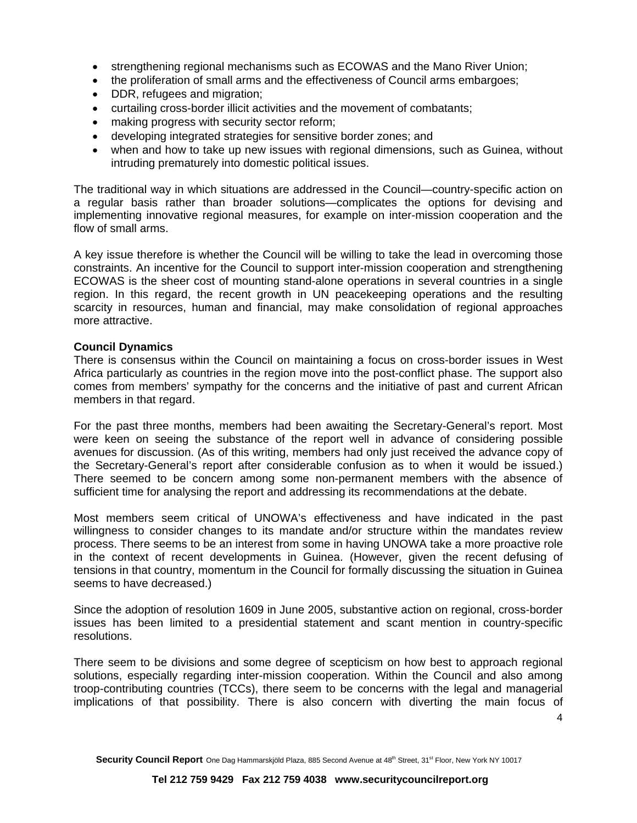- strengthening regional mechanisms such as ECOWAS and the Mano River Union;
- the proliferation of small arms and the effectiveness of Council arms embargoes;
- DDR, refugees and migration;
- curtailing cross-border illicit activities and the movement of combatants;
- making progress with security sector reform;
- developing integrated strategies for sensitive border zones; and
- when and how to take up new issues with regional dimensions, such as Guinea, without intruding prematurely into domestic political issues.

The traditional way in which situations are addressed in the Council—country-specific action on a regular basis rather than broader solutions—complicates the options for devising and implementing innovative regional measures, for example on inter-mission cooperation and the flow of small arms.

A key issue therefore is whether the Council will be willing to take the lead in overcoming those constraints. An incentive for the Council to support inter-mission cooperation and strengthening ECOWAS is the sheer cost of mounting stand-alone operations in several countries in a single region. In this regard, the recent growth in UN peacekeeping operations and the resulting scarcity in resources, human and financial, may make consolidation of regional approaches more attractive.

#### **Council Dynamics**

There is consensus within the Council on maintaining a focus on cross-border issues in West Africa particularly as countries in the region move into the post-conflict phase. The support also comes from members' sympathy for the concerns and the initiative of past and current African members in that regard.

For the past three months, members had been awaiting the Secretary-General's report. Most were keen on seeing the substance of the report well in advance of considering possible avenues for discussion. (As of this writing, members had only just received the advance copy of the Secretary-General's report after considerable confusion as to when it would be issued.) There seemed to be concern among some non-permanent members with the absence of sufficient time for analysing the report and addressing its recommendations at the debate.

Most members seem critical of UNOWA's effectiveness and have indicated in the past willingness to consider changes to its mandate and/or structure within the mandates review process. There seems to be an interest from some in having UNOWA take a more proactive role in the context of recent developments in Guinea. (However, given the recent defusing of tensions in that country, momentum in the Council for formally discussing the situation in Guinea seems to have decreased.)

Since the adoption of resolution 1609 in June 2005, substantive action on regional, cross-border issues has been limited to a presidential statement and scant mention in country-specific resolutions.

There seem to be divisions and some degree of scepticism on how best to approach regional solutions, especially regarding inter-mission cooperation. Within the Council and also among troop-contributing countries (TCCs), there seem to be concerns with the legal and managerial implications of that possibility. There is also concern with diverting the main focus of

4

Security Council Report One Dag Hammarskjöld Plaza, 885 Second Avenue at 48<sup>th</sup> Street, 31<sup>st</sup> Floor, New York NY 10017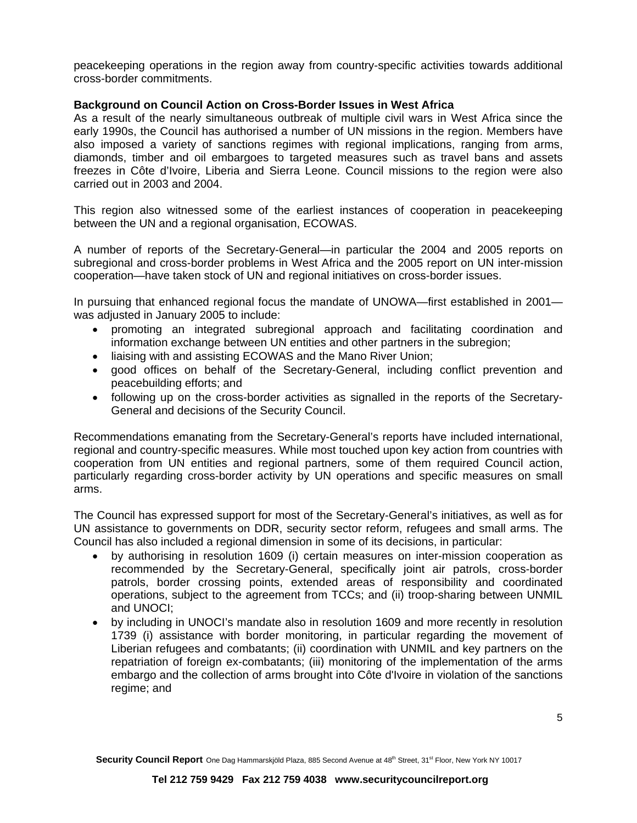peacekeeping operations in the region away from country-specific activities towards additional cross-border commitments.

#### **Background on Council Action on Cross-Border Issues in West Africa**

As a result of the nearly simultaneous outbreak of multiple civil wars in West Africa since the early 1990s, the Council has authorised a number of UN missions in the region. Members have also imposed a variety of sanctions regimes with regional implications, ranging from arms, diamonds, timber and oil embargoes to targeted measures such as travel bans and assets freezes in Côte d'Ivoire, Liberia and Sierra Leone. Council missions to the region were also carried out in 2003 and 2004.

This region also witnessed some of the earliest instances of cooperation in peacekeeping between the UN and a regional organisation, ECOWAS.

A number of reports of the Secretary-General—in particular the 2004 and 2005 reports on subregional and cross-border problems in West Africa and the 2005 report on UN inter-mission cooperation—have taken stock of UN and regional initiatives on cross-border issues.

In pursuing that enhanced regional focus the mandate of UNOWA—first established in 2001 was adjusted in January 2005 to include:

- promoting an integrated subregional approach and facilitating coordination and information exchange between UN entities and other partners in the subregion;
- liaising with and assisting ECOWAS and the Mano River Union;
- good offices on behalf of the Secretary-General, including conflict prevention and peacebuilding efforts; and
- following up on the cross-border activities as signalled in the reports of the Secretary-General and decisions of the Security Council.

Recommendations emanating from the Secretary-General's reports have included international, regional and country-specific measures. While most touched upon key action from countries with cooperation from UN entities and regional partners, some of them required Council action, particularly regarding cross-border activity by UN operations and specific measures on small arms.

The Council has expressed support for most of the Secretary-General's initiatives, as well as for UN assistance to governments on DDR, security sector reform, refugees and small arms. The Council has also included a regional dimension in some of its decisions, in particular:

- by authorising in resolution 1609 (i) certain measures on inter-mission cooperation as recommended by the Secretary-General, specifically joint air patrols, cross-border patrols, border crossing points, extended areas of responsibility and coordinated operations, subject to the agreement from TCCs; and (ii) troop-sharing between UNMIL and UNOCI;
- by including in UNOCI's mandate also in resolution 1609 and more recently in resolution 1739 (i) assistance with border monitoring, in particular regarding the movement of Liberian refugees and combatants; (ii) coordination with UNMIL and key partners on the repatriation of foreign ex-combatants; (iii) monitoring of the implementation of the arms embargo and the collection of arms brought into Côte d'Ivoire in violation of the sanctions regime; and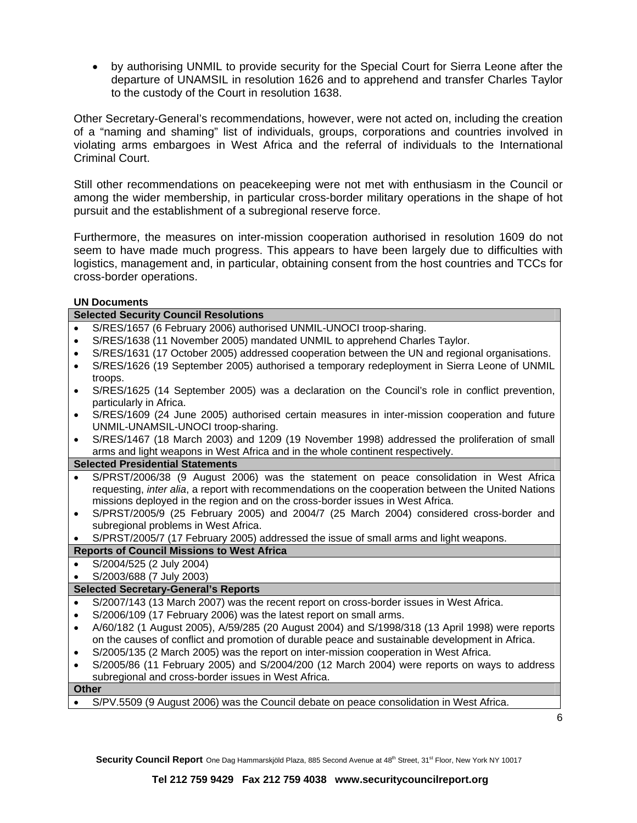• by authorising UNMIL to provide security for the Special Court for Sierra Leone after the departure of UNAMSIL in resolution 1626 and to apprehend and transfer Charles Taylor to the custody of the Court in resolution 1638.

Other Secretary-General's recommendations, however, were not acted on, including the creation of a "naming and shaming" list of individuals, groups, corporations and countries involved in violating arms embargoes in West Africa and the referral of individuals to the International Criminal Court.

Still other recommendations on peacekeeping were not met with enthusiasm in the Council or among the wider membership, in particular cross-border military operations in the shape of hot pursuit and the establishment of a subregional reserve force.

Furthermore, the measures on inter-mission cooperation authorised in resolution 1609 do not seem to have made much progress. This appears to have been largely due to difficulties with logistics, management and, in particular, obtaining consent from the host countries and TCCs for cross-border operations.

#### **UN Documents**

| <b>Selected Security Council Resolutions</b>      |                                                                                                             |
|---------------------------------------------------|-------------------------------------------------------------------------------------------------------------|
|                                                   | S/RES/1657 (6 February 2006) authorised UNMIL-UNOCI troop-sharing.                                          |
|                                                   | S/RES/1638 (11 November 2005) mandated UNMIL to apprehend Charles Taylor.                                   |
|                                                   | S/RES/1631 (17 October 2005) addressed cooperation between the UN and regional organisations.               |
| $\bullet$                                         | S/RES/1626 (19 September 2005) authorised a temporary redeployment in Sierra Leone of UNMIL                 |
|                                                   | troops.                                                                                                     |
| $\bullet$                                         | S/RES/1625 (14 September 2005) was a declaration on the Council's role in conflict prevention,              |
|                                                   | particularly in Africa.                                                                                     |
| $\bullet$                                         | S/RES/1609 (24 June 2005) authorised certain measures in inter-mission cooperation and future               |
|                                                   | UNMIL-UNAMSIL-UNOCI troop-sharing.                                                                          |
| $\bullet$                                         | S/RES/1467 (18 March 2003) and 1209 (19 November 1998) addressed the proliferation of small                 |
|                                                   | arms and light weapons in West Africa and in the whole continent respectively.                              |
| <b>Selected Presidential Statements</b>           |                                                                                                             |
|                                                   | S/PRST/2006/38 (9 August 2006) was the statement on peace consolidation in West Africa                      |
|                                                   | requesting, <i>inter alia</i> , a report with recommendations on the cooperation between the United Nations |
|                                                   | missions deployed in the region and on the cross-border issues in West Africa.                              |
| $\bullet$                                         | S/PRST/2005/9 (25 February 2005) and 2004/7 (25 March 2004) considered cross-border and                     |
|                                                   | subregional problems in West Africa.                                                                        |
|                                                   | S/PRST/2005/7 (17 February 2005) addressed the issue of small arms and light weapons.                       |
| <b>Reports of Council Missions to West Africa</b> |                                                                                                             |
|                                                   | S/2004/525 (2 July 2004)                                                                                    |
|                                                   | S/2003/688 (7 July 2003)                                                                                    |
| <b>Selected Secretary-General's Reports</b>       |                                                                                                             |
| $\bullet$                                         | S/2007/143 (13 March 2007) was the recent report on cross-border issues in West Africa.                     |
|                                                   | S/2006/109 (17 February 2006) was the latest report on small arms.                                          |
| $\bullet$                                         | A/60/182 (1 August 2005), A/59/285 (20 August 2004) and S/1998/318 (13 April 1998) were reports             |
|                                                   | on the causes of conflict and promotion of durable peace and sustainable development in Africa.             |
|                                                   | S/2005/135 (2 March 2005) was the report on inter-mission cooperation in West Africa.                       |
| $\bullet$                                         | S/2005/86 (11 February 2005) and S/2004/200 (12 March 2004) were reports on ways to address                 |
|                                                   | subregional and cross-border issues in West Africa.                                                         |
| <b>Other</b>                                      |                                                                                                             |
|                                                   | S/PV.5509 (9 August 2006) was the Council debate on peace consolidation in West Africa.                     |

6

Security Council Report One Dag Hammarskjöld Plaza, 885 Second Avenue at 48<sup>th</sup> Street, 31<sup>st</sup> Floor, New York NY 10017